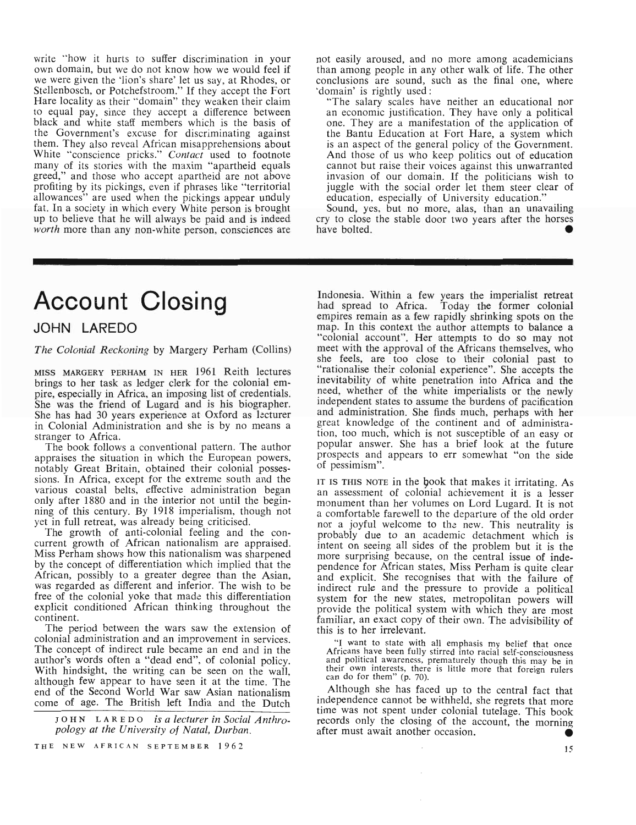write "how it hurts to suffer discrimination in your own domain, but we do not know how we would feel if we were given the 'lion's share' let us say, at Rhodes, or Stellenbosch, or Potchefstroom." If they accept the Fort Hare locality as their "domain" they weaken their claim to equal pay, *since* they accept a difference between black and white staff members which is the basis of the Government's excuse for discriminating against them. They also reveal African misapprehensions about White "conscience pricks." *Contact* used to footnote many of its stories with the maxim "apartheid equals greed," and those who accept apartheid are not above profiting by its pickings, even if phrases like "territorial allowances" are used when the pickings appear unduly fat. In a society in which every White person is brought up to believe that he will always be paid and is indeed *worth* more than any non-white person, consciences are

# Account Closing

### **JOHN** LAREDO

### *The Colonial Reckoning* by Margery Perham (Collins)

MISS MARGERY PERHAM IN HER 1961 Reith lectures brings to her task as ledger clerk for the colonial empire, especially in Africa, an imposing list of credentials. She was the friend of Lugard and is his biographer. She has had 30 years experience at Oxford as lecturer in Colonial Administration and she is by no means a stranger to Africa.

The book follows a conventional pattern. The author appraises the situation in which the European powers, notably Great Britain, obtained their colonial possessions. In Africa, except for the extreme south and the various coastal belts, effective administration began only after 1880 and in the interior not until the beginning of this century. By 1918 imperialism, though not yet in full retreat, was already being criticised.

The growth of anti-colonial feeling and the concurrent growth of African nationalism are appraised. Miss Perham shows how this nationalism was sharpened by the concept of differentiation which implied that the African, possibly to a greater degree than the Asian, was regarded as different and inferior. The wish to be free of the colonial yoke that made this differentiation explicit conditioned African thinking throughout the continent.

The period between the wars saw the extension of colonial administration and an improvement in services. The concept of indirect rule became an end and in the author's words often a "dead end", of colonial policy. With hindsight, the writing can be seen on the wall, although few appear to have seen it at the time. The end of the Second World War saw Asian nationalism come of age. The British left India and the Dutch

J 0 H N L ARE D 0 *is a lecturer in Social Anthropology at the University of Natal, Durban.*

not easily aroused, and no more among academicians than among people in any other walk of life. The other conclusions are sound, such as the final one, where ~domain' is rightly used:

"The salary scales have neither an educational nor an economic justification. They have only a political one. They are a manifestation of the application of the Bantu Education at Fort Hare, a system which is an aspect of the general policy of the Government. And those of us who keep politics out of education cannot but raise their voices against this unwarranted invasion of our domain. If the politicians wish to juggle with the social order let them steer clear of education, especially of University education."

Sound, yes, but no more, alas, than an unavailing cry to close the stable door two years after the horses have bolted.

Indonesia. Within a few years the imperialist retreat had spread to Africa. Today the former colonial Today the former colonial empires remain as a few rapidly shrinking spots on the map. In this context the author attempts to balance a "colonial account". Her attempts to do so may not meet with the approval of the Africans themselves, who she feels, are too close to their colonial past to "rationalise their colonial experience". She accepts the inevitability of white penetration into Africa and the need, whether of the white imperialists or the newly independent states to assume the burdens of pacification and administration. She finds much, perhaps with her great knowledge of the continent and of administration, too much, which is not susceptible of an easy or popular answer. She has a brief look at the future prospects and appears to err somewhat "on the side of pessimism".

IT IS THIS NOTE in the book that makes it irritating. As an assessment of colonial achievement it is a lesser monument than her volumes on Lord Lugard. It is not a comfortable farewell to the departure of the old order nor a joyful welcome to the new. This neutrality is probably due to an academic detachment which is intent on seeing all sides of the problem but it is the more surprising because, on the central issue of independence for African states, Miss Perham is quite clear and explicit. She recognises that with the failure of indirect rule and the pressure to provide a political system for the new states, metropolitan powers will provide the political system with which they are most familiar, an exact copy of their own. The advisibility of this is to her irrelevant.

HI want to state with all emphasis my belief that once Africans have been fully stirred into racial self-consciousness and political awareness, prematurely though this may be in their own interests, there is little more that foreign rulers can do for them" (p. 70).

Although she has faced up to the central fact that independence cannot be withheld, she regrets that more time was not spent under colonial tutelage. This book records only the closing of the account, the morning after must await another occasion.

THE NEW AFRICAN SEPTEMBER 1962

15